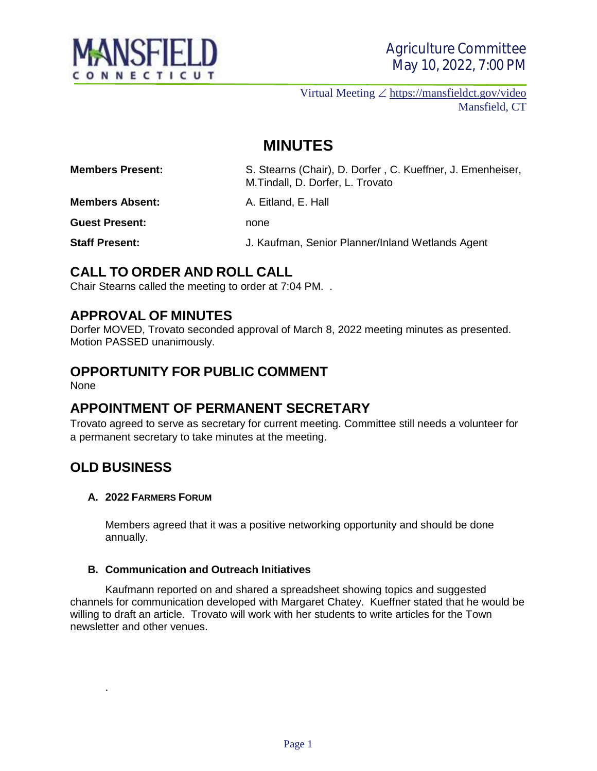

Virtual Meeting  $\angle$  <https://mansfieldct.gov/video> Mansfield, CT

# **MINUTES**

**Members Present:** S. Stearns (Chair), D. Dorfer , C. Kueffner, J. Emenheiser, M.Tindall, D. Dorfer, L. Trovato

**Members Absent:** A. Eitland, E. Hall

**Guest Present:** none

**Staff Present:** J. Kaufman, Senior Planner/Inland Wetlands Agent

## **CALL TO ORDER AND ROLL CALL**

Chair Stearns called the meeting to order at 7:04 PM. .

## **APPROVAL OF MINUTES**

Dorfer MOVED, Trovato seconded approval of March 8, 2022 meeting minutes as presented. Motion PASSED unanimously.

# **OPPORTUNITY FOR PUBLIC COMMENT**

None

## **APPOINTMENT OF PERMANENT SECRETARY**

Trovato agreed to serve as secretary for current meeting. Committee still needs a volunteer for a permanent secretary to take minutes at the meeting.

## **OLD BUSINESS**

.

#### **A. 2022 FARMERS FORUM**

Members agreed that it was a positive networking opportunity and should be done annually.

#### **B. Communication and Outreach Initiatives**

Kaufmann reported on and shared a spreadsheet showing topics and suggested channels for communication developed with Margaret Chatey. Kueffner stated that he would be willing to draft an article. Trovato will work with her students to write articles for the Town newsletter and other venues.